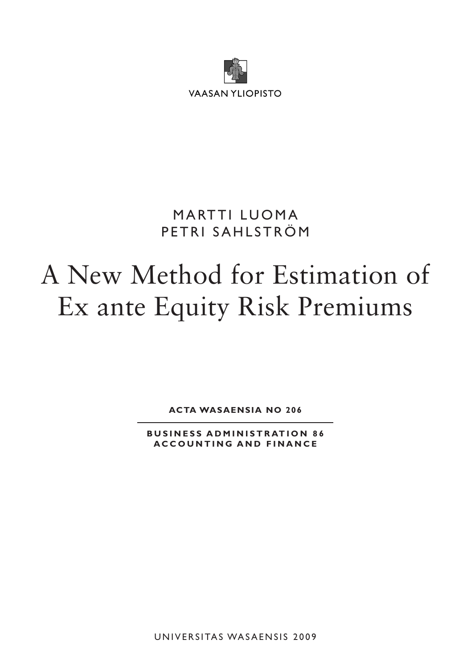

# **MARTTI LUOMA** PETRI SAHLSTRÖM

# A New Method for Estimation of Ex ante Equity Risk Premiums

**ACTA WASAENSIA NO 206**

**BUSINESS ADMINISTRATION 86 A C C O U N T I N G A N D F I N A N C E**

UNIVERSITAS WASAENSIS 2009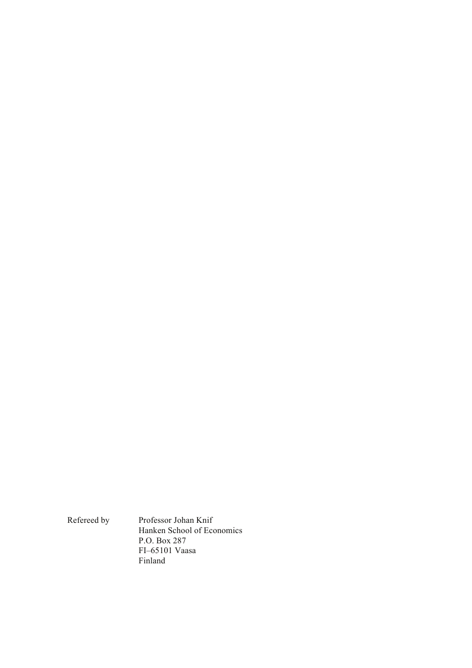Refereed by Professor Johan Knif Hanken School of Economics P.O. Box 287 FI–65101 Vaasa Finland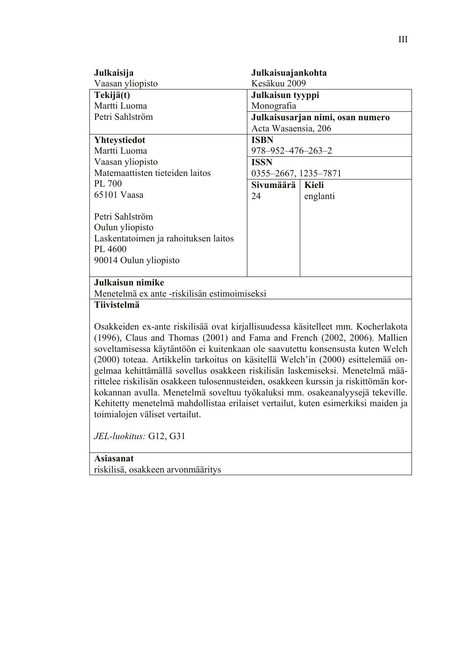| Julkaisija                                                                          | Julkaisuajankohta           |                                  |  |
|-------------------------------------------------------------------------------------|-----------------------------|----------------------------------|--|
| Vaasan yliopisto                                                                    |                             | Kesäkuu 2009                     |  |
| Tekijä(t)                                                                           |                             | Julkaisun tyyppi                 |  |
| Martti Luoma                                                                        | Monografia                  |                                  |  |
| Petri Sahlström                                                                     |                             | Julkaisusarjan nimi, osan numero |  |
|                                                                                     | Acta Wasaensia, 206         |                                  |  |
| <b>Yhteystiedot</b>                                                                 | <b>ISBN</b>                 |                                  |  |
| Martti Luoma                                                                        | $978 - 952 - 476 - 263 - 2$ |                                  |  |
| Vaasan yliopisto                                                                    | <b>ISSN</b>                 |                                  |  |
| Matemaattisten tieteiden laitos                                                     | 0355-2667, 1235-7871        |                                  |  |
| PL 700                                                                              | Sivumäärä                   | <b>Kieli</b>                     |  |
| 65101 Vaasa                                                                         | 24                          | englanti                         |  |
|                                                                                     |                             |                                  |  |
| Petri Sahlström                                                                     |                             |                                  |  |
| Oulun yliopisto                                                                     |                             |                                  |  |
| Laskentatoimen ja rahoituksen laitos                                                |                             |                                  |  |
| PL 4600                                                                             |                             |                                  |  |
| 90014 Oulun yliopisto                                                               |                             |                                  |  |
|                                                                                     |                             |                                  |  |
| Julkaisun nimike                                                                    |                             |                                  |  |
| Menetelmä ex ante -riskilisän estimoimiseksi                                        |                             |                                  |  |
| <b>Tiivistelmä</b>                                                                  |                             |                                  |  |
|                                                                                     |                             |                                  |  |
| Osakkeiden ex-ante riskilisää ovat kirjallisuudessa käsitelleet mm. Kocherlakota    |                             |                                  |  |
| (1996), Claus and Thomas (2001) and Fama and French (2002, 2006). Mallien           |                             |                                  |  |
| soveltamisessa käytäntöön ei kuitenkaan ole saavutettu konsensusta kuten Welch      |                             |                                  |  |
| (2000) toteaa. Artikkelin tarkoitus on käsitellä Welch'in (2000) esittelemää on-    |                             |                                  |  |
| gelmaa kehittämällä sovellus osakkeen riskilisän laskemiseksi. Menetelmä mää-       |                             |                                  |  |
| rittelee riskilisän osakkeen tulosennusteiden, osakkeen kurssin ja riskittömän kor- |                             |                                  |  |
| kokannan avulla. Menetelmä soveltuu työkaluksi mm. osakeanalyysejä tekeville.       |                             |                                  |  |

Kehitetty menetelmä mahdollistaa erilaiset vertailut, kuten esimerkiksi maiden ja

*JEL-luokitus:* G12, G31

toimialojen väliset vertailut.

#### **Asiasanat**  riskilisä, osakkeen arvonmääritys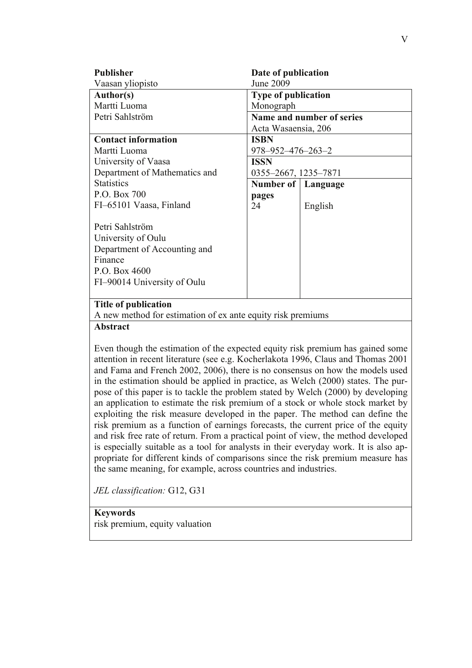| <b>Publisher</b>                                            | Date of publication         |          |  |
|-------------------------------------------------------------|-----------------------------|----------|--|
| Vaasan yliopisto                                            | <b>June 2009</b>            |          |  |
| Author(s)                                                   | <b>Type of publication</b>  |          |  |
| Martti Luoma                                                | Monograph                   |          |  |
| Petri Sahlström                                             | Name and number of series   |          |  |
|                                                             | Acta Wasaensia, 206         |          |  |
| <b>Contact information</b>                                  | <b>ISBN</b>                 |          |  |
| Martti Luoma                                                | $978 - 952 - 476 - 263 - 2$ |          |  |
| University of Vaasa                                         | <b>ISSN</b>                 |          |  |
| Department of Mathematics and                               | 0355-2667, 1235-7871        |          |  |
| <b>Statistics</b>                                           | Number of                   | Language |  |
| P.O. Box 700                                                | pages                       |          |  |
| FI-65101 Vaasa, Finland                                     | 24                          | English  |  |
|                                                             |                             |          |  |
| Petri Sahlström                                             |                             |          |  |
| University of Oulu                                          |                             |          |  |
| Department of Accounting and                                |                             |          |  |
| Finance                                                     |                             |          |  |
| P.O. Box 4600                                               |                             |          |  |
| FI-90014 University of Oulu                                 |                             |          |  |
|                                                             |                             |          |  |
| <b>Title of publication</b>                                 |                             |          |  |
| A new method for estimation of ex ante equity risk premiums |                             |          |  |

#### **Abstract**

Even though the estimation of the expected equity risk premium has gained some attention in recent literature (see e.g. Kocherlakota 1996, Claus and Thomas 2001 and Fama and French 2002, 2006), there is no consensus on how the models used in the estimation should be applied in practice, as Welch (2000) states. The purpose of this paper is to tackle the problem stated by Welch (2000) by developing an application to estimate the risk premium of a stock or whole stock market by exploiting the risk measure developed in the paper. The method can define the risk premium as a function of earnings forecasts, the current price of the equity and risk free rate of return. From a practical point of view, the method developed is especially suitable as a tool for analysts in their everyday work. It is also appropriate for different kinds of comparisons since the risk premium measure has the same meaning, for example, across countries and industries.

*JEL classification:* G12, G31

**Keywords**  risk premium, equity valuation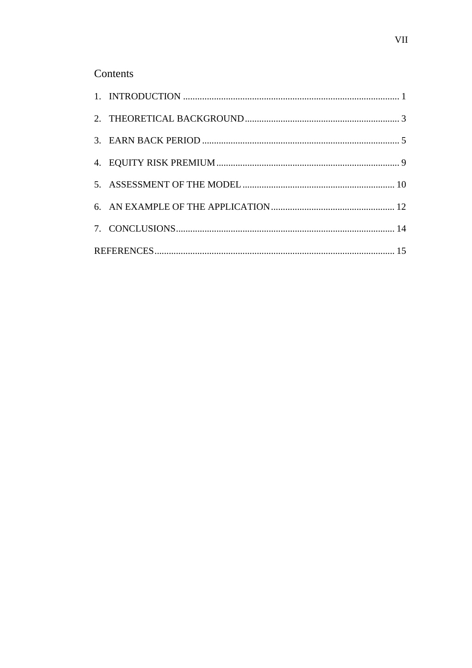#### Contents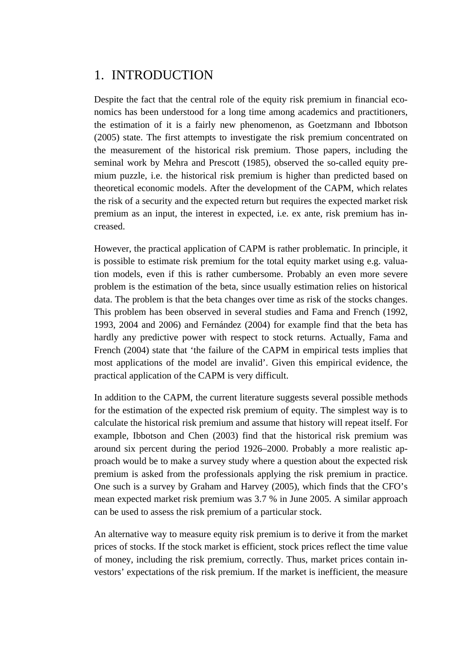# 1. INTRODUCTION

Despite the fact that the central role of the equity risk premium in financial economics has been understood for a long time among academics and practitioners, the estimation of it is a fairly new phenomenon, as Goetzmann and Ibbotson (2005) state. The first attempts to investigate the risk premium concentrated on the measurement of the historical risk premium. Those papers, including the seminal work by Mehra and Prescott (1985), observed the so-called equity premium puzzle, i.e. the historical risk premium is higher than predicted based on theoretical economic models. After the development of the CAPM, which relates the risk of a security and the expected return but requires the expected market risk premium as an input, the interest in expected, i.e. ex ante, risk premium has increased.

However, the practical application of CAPM is rather problematic. In principle, it is possible to estimate risk premium for the total equity market using e.g. valuation models, even if this is rather cumbersome. Probably an even more severe problem is the estimation of the beta, since usually estimation relies on historical data. The problem is that the beta changes over time as risk of the stocks changes. This problem has been observed in several studies and Fama and French (1992, 1993, 2004 and 2006) and Fernández (2004) for example find that the beta has hardly any predictive power with respect to stock returns. Actually, Fama and French (2004) state that 'the failure of the CAPM in empirical tests implies that most applications of the model are invalid'. Given this empirical evidence, the practical application of the CAPM is very difficult.

In addition to the CAPM, the current literature suggests several possible methods for the estimation of the expected risk premium of equity. The simplest way is to calculate the historical risk premium and assume that history will repeat itself. For example, Ibbotson and Chen (2003) find that the historical risk premium was around six percent during the period 1926–2000. Probably a more realistic approach would be to make a survey study where a question about the expected risk premium is asked from the professionals applying the risk premium in practice. One such is a survey by Graham and Harvey (2005), which finds that the CFO's mean expected market risk premium was 3.7 % in June 2005. A similar approach can be used to assess the risk premium of a particular stock.

An alternative way to measure equity risk premium is to derive it from the market prices of stocks. If the stock market is efficient, stock prices reflect the time value of money, including the risk premium, correctly. Thus, market prices contain investors' expectations of the risk premium. If the market is inefficient, the measure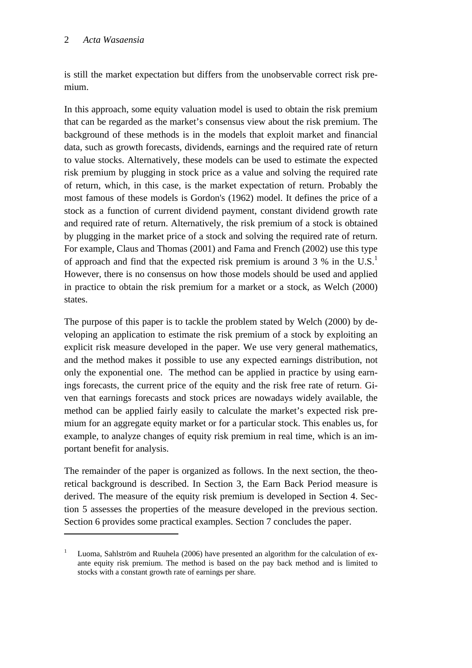<u>.</u>

is still the market expectation but differs from the unobservable correct risk premium.

In this approach, some equity valuation model is used to obtain the risk premium that can be regarded as the market's consensus view about the risk premium. The background of these methods is in the models that exploit market and financial data, such as growth forecasts, dividends, earnings and the required rate of return to value stocks. Alternatively, these models can be used to estimate the expected risk premium by plugging in stock price as a value and solving the required rate of return, which, in this case, is the market expectation of return. Probably the most famous of these models is Gordon's (1962) model. It defines the price of a stock as a function of current dividend payment, constant dividend growth rate and required rate of return. Alternatively, the risk premium of a stock is obtained by plugging in the market price of a stock and solving the required rate of return. For example, Claus and Thomas (2001) and Fama and French (2002) use this type of approach and find that the expected risk premium is around  $3\%$  in the U.S.<sup>1</sup> However, there is no consensus on how those models should be used and applied in practice to obtain the risk premium for a market or a stock, as Welch (2000) states.

The purpose of this paper is to tackle the problem stated by Welch (2000) by developing an application to estimate the risk premium of a stock by exploiting an explicit risk measure developed in the paper. We use very general mathematics, and the method makes it possible to use any expected earnings distribution, not only the exponential one. The method can be applied in practice by using earnings forecasts, the current price of the equity and the risk free rate of return. Given that earnings forecasts and stock prices are nowadays widely available, the method can be applied fairly easily to calculate the market's expected risk premium for an aggregate equity market or for a particular stock. This enables us, for example, to analyze changes of equity risk premium in real time, which is an important benefit for analysis.

The remainder of the paper is organized as follows. In the next section, the theoretical background is described. In Section 3, the Earn Back Period measure is derived. The measure of the equity risk premium is developed in Section 4. Section 5 assesses the properties of the measure developed in the previous section. Section 6 provides some practical examples. Section 7 concludes the paper.

<sup>1</sup> Luoma, Sahlström and Ruuhela (2006) have presented an algorithm for the calculation of exante equity risk premium. The method is based on the pay back method and is limited to stocks with a constant growth rate of earnings per share.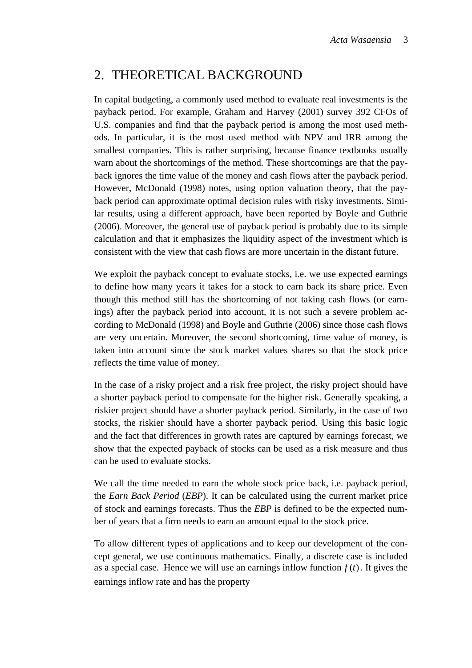# 2. THEORETICAL BACKGROUND

In capital budgeting, a commonly used method to evaluate real investments is the payback period. For example, Graham and Harvey (2001) survey 392 CFOs of U.S. companies and find that the payback period is among the most used methods. In particular, it is the most used method with NPV and IRR among the smallest companies. This is rather surprising, because finance textbooks usually warn about the shortcomings of the method. These shortcomings are that the payback ignores the time value of the money and cash flows after the payback period. However, McDonald (1998) notes, using option valuation theory, that the payback period can approximate optimal decision rules with risky investments. Similar results, using a different approach, have been reported by Boyle and Guthrie (2006). Moreover, the general use of payback period is probably due to its simple calculation and that it emphasizes the liquidity aspect of the investment which is consistent with the view that cash flows are more uncertain in the distant future.

We exploit the payback concept to evaluate stocks, i.e. we use expected earnings to define how many years it takes for a stock to earn back its share price. Even though this method still has the shortcoming of not taking cash flows (or earnings) after the payback period into account, it is not such a severe problem according to McDonald (1998) and Boyle and Guthrie (2006) since those cash flows are very uncertain. Moreover, the second shortcoming, time value of money, is taken into account since the stock market values shares so that the stock price reflects the time value of money.

In the case of a risky project and a risk free project, the risky project should have a shorter payback period to compensate for the higher risk. Generally speaking, a riskier project should have a shorter payback period. Similarly, in the case of two stocks, the riskier should have a shorter payback period. Using this basic logic and the fact that differences in growth rates are captured by earnings forecast, we show that the expected payback of stocks can be used as a risk measure and thus can be used to evaluate stocks.

We call the time needed to earn the whole stock price back, i.e. payback period, the *Earn Back Period* (*EBP*). It can be calculated using the current market price of stock and earnings forecasts. Thus the *EBP* is defined to be the expected number of years that a firm needs to earn an amount equal to the stock price.

To allow different types of applications and to keep our development of the concept general, we use continuous mathematics. Finally, a discrete case is included as a special case. Hence we will use an earnings inflow function  $f(t)$ . It gives the earnings inflow rate and has the property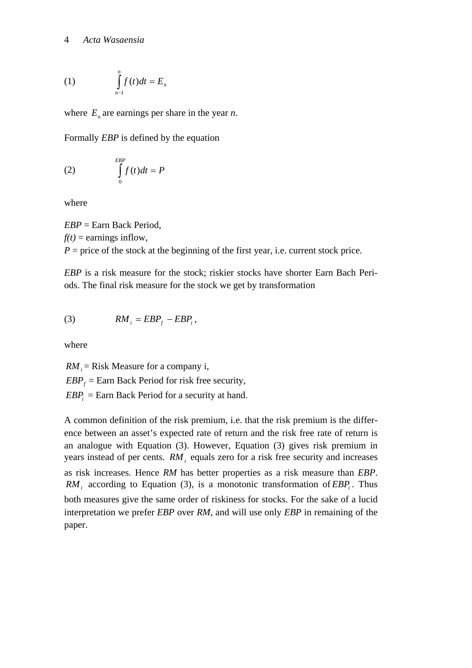$$
(1) \qquad \int_{n-1}^{n} f(t)dt = E_n
$$

where  $E_n$  are earnings per share in the year *n*.

Formally *EBP* is defined by the equation

$$
\int_{0}^{EBP} f(t)dt = P
$$

where

*EBP* = Earn Back Period,  $f(t) =$  earnings inflow,  $P =$  price of the stock at the beginning of the first year, i.e. current stock price.

*EBP* is a risk measure for the stock; riskier stocks have shorter Earn Bach Periods. The final risk measure for the stock we get by transformation

(3) 
$$
RM_i = EBP_f - EBP_i,
$$

where

 $RM_i$  = Risk Measure for a company i,  $EBP_f$  = Earn Back Period for risk free security,  $EBP_i =$ Earn Back Period for a security at hand.

A common definition of the risk premium, i.e. that the risk premium is the difference between an asset's expected rate of return and the risk free rate of return is an analogue with Equation (3). However, Equation (3) gives risk premium in years instead of per cents. *RM*<sub>i</sub> equals zero for a risk free security and increases as risk increases. Hence *RM* has better properties as a risk measure than *EBP*.  $RM<sub>i</sub>$  according to Equation (3), is a monotonic transformation of  $EBP<sub>i</sub>$ . Thus both measures give the same order of riskiness for stocks. For the sake of a lucid interpretation we prefer *EBP* over *RM*, and will use only *EBP* in remaining of the paper.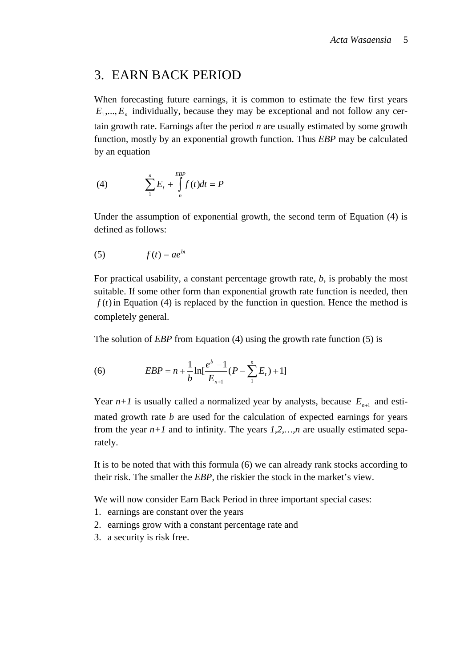#### 3. EARN BACK PERIOD

When forecasting future earnings, it is common to estimate the few first years  $E_1, \ldots, E_n$  individually, because they may be exceptional and not follow any certain growth rate. Earnings after the period *n* are usually estimated by some growth function, mostly by an exponential growth function. Thus *EBP* may be calculated by an equation

(4) 
$$
\sum_{1}^{n} E_{t} + \int_{n}^{EBP} f(t)dt = P
$$

Under the assumption of exponential growth, the second term of Equation (4) is defined as follows:

$$
(5) \t f(t) = ae^{bt}
$$

For practical usability, a constant percentage growth rate, *b,* is probably the most suitable. If some other form than exponential growth rate function is needed, then  $f(t)$  in Equation (4) is replaced by the function in question. Hence the method is completely general.

The solution of *EBP* from Equation (4) using the growth rate function (5) is

(6) 
$$
EBP = n + \frac{1}{b} \ln[\frac{e^b - 1}{E_{n+1}}(P - \sum_{1}^{n} E_t) + 1]
$$

Year  $n+1$  is usually called a normalized year by analysts, because  $E_{n+1}$  and estimated growth rate *b* are used for the calculation of expected earnings for years from the year  $n+1$  and to infinity. The years  $1,2,...,n$  are usually estimated separately.

It is to be noted that with this formula (6) we can already rank stocks according to their risk. The smaller the *EBP,* the riskier the stock in the market's view.

We will now consider Earn Back Period in three important special cases:

- 1. earnings are constant over the years
- 2. earnings grow with a constant percentage rate and
- 3. a security is risk free.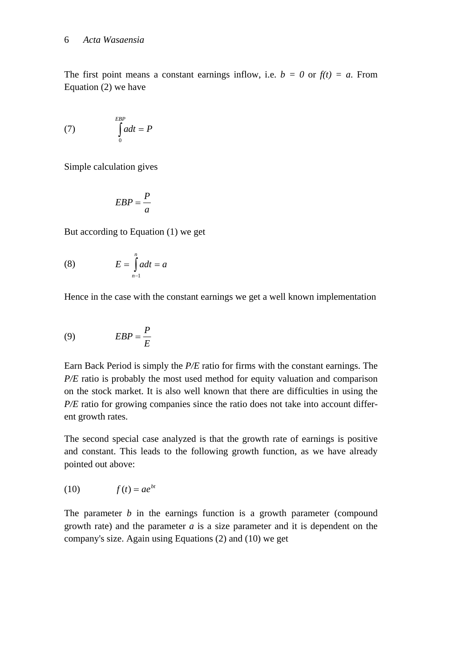The first point means a constant earnings inflow, i.e.  $b = 0$  or  $f(t) = a$ . From Equation (2) we have

$$
(7) \qquad \int_{0}^{EBP} a dt = P
$$

Simple calculation gives

$$
EBP = \frac{P}{a}
$$

But according to Equation (1) we get

(8) 
$$
E = \int_{n-1}^{n} a dt = a
$$

Hence in the case with the constant earnings we get a well known implementation

$$
(9) \tEBP = \frac{P}{E}
$$

Earn Back Period is simply the *P/E* ratio for firms with the constant earnings. The *P/E* ratio is probably the most used method for equity valuation and comparison on the stock market. It is also well known that there are difficulties in using the *P/E* ratio for growing companies since the ratio does not take into account different growth rates.

The second special case analyzed is that the growth rate of earnings is positive and constant. This leads to the following growth function, as we have already pointed out above:

$$
(10) \t\t f(t) = ae^{bt}
$$

The parameter *b* in the earnings function is a growth parameter (compound growth rate) and the parameter *a* is a size parameter and it is dependent on the company's size. Again using Equations (2) and (10) we get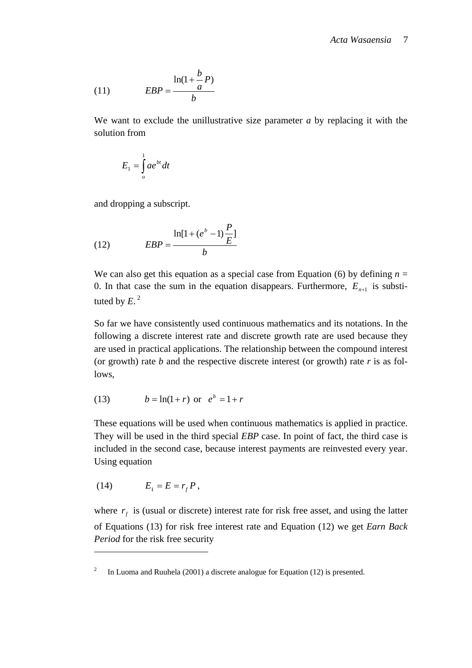(11) 
$$
EBP = \frac{\ln(1 + \frac{b}{a}P)}{b}
$$

We want to exclude the unillustrative size parameter *a* by replacing it with the solution from

$$
E_1 = \int_{o}^{1} a e^{bt} dt
$$

and dropping a subscript.

(12) 
$$
EBP = \frac{\ln[1 + (e^{b} - 1)\frac{P}{E}]}{b}
$$

We can also get this equation as a special case from Equation (6) by defining  $n =$ 0. In that case the sum in the equation disappears. Furthermore,  $E_{n+1}$  is substituted by  $E<sup>2</sup>$ 

So far we have consistently used continuous mathematics and its notations. In the following a discrete interest rate and discrete growth rate are used because they are used in practical applications. The relationship between the compound interest (or growth) rate *b* and the respective discrete interest (or growth) rate *r* is as follows,

(13) 
$$
b = \ln(1+r)
$$
 or  $e^b = 1+r$ 

These equations will be used when continuous mathematics is applied in practice. They will be used in the third special *EBP* case. In point of fact, the third case is included in the second case, because interest payments are reinvested every year. Using equation

$$
(14) \qquad E_1 = E = r_f P,
$$

1

where  $r_f$  is (usual or discrete) interest rate for risk free asset, and using the latter of Equations (13) for risk free interest rate and Equation (12) we get *Earn Back Period* for the risk free security

<sup>2</sup> In Luoma and Ruuhela (2001) a discrete analogue for Equation (12) is presented.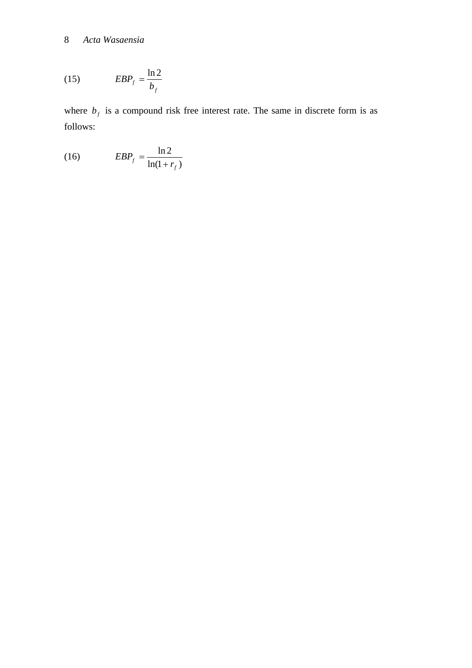$$
(15) \t\t\t\tEBPf = \frac{\ln 2}{b_f}
$$

where  $b_f$  is a compound risk free interest rate. The same in discrete form is as follows:

$$
(16) \t\t\t\t\tEBPf = \frac{\ln 2}{\ln(1 + r_f)}
$$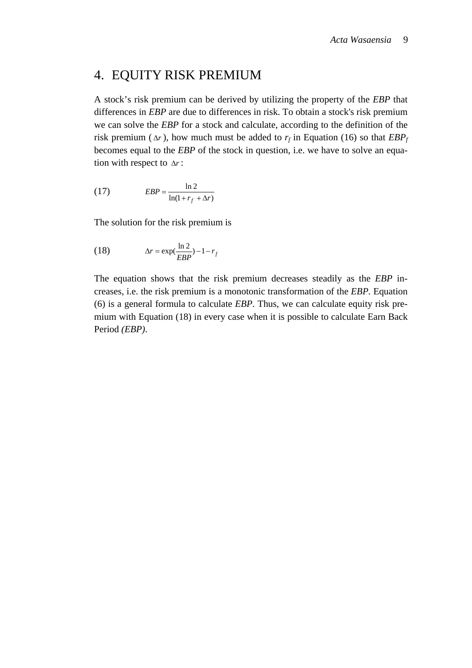### 4. EQUITY RISK PREMIUM

A stock's risk premium can be derived by utilizing the property of the *EBP* that differences in *EBP* are due to differences in risk. To obtain a stock's risk premium we can solve the *EBP* for a stock and calculate, according to the definition of the risk premium ( $\Delta r$ ), how much must be added to  $r_f$  in Equation (16) so that  $EBP_f$ becomes equal to the *EBP* of the stock in question, i.e. we have to solve an equation with respect to Δ*r* :

$$
(17) \t\t\t\tEBP = \frac{\ln 2}{\ln(1 + r_f + \Delta r)}
$$

The solution for the risk premium is

(18) 
$$
\Delta r = \exp(\frac{\ln 2}{EBP}) - 1 - r_f
$$

The equation shows that the risk premium decreases steadily as the *EBP* increases, i.e. the risk premium is a monotonic transformation of the *EBP.* Equation (6) is a general formula to calculate *EBP*. Thus, we can calculate equity risk premium with Equation (18) in every case when it is possible to calculate Earn Back Period *(EBP)*.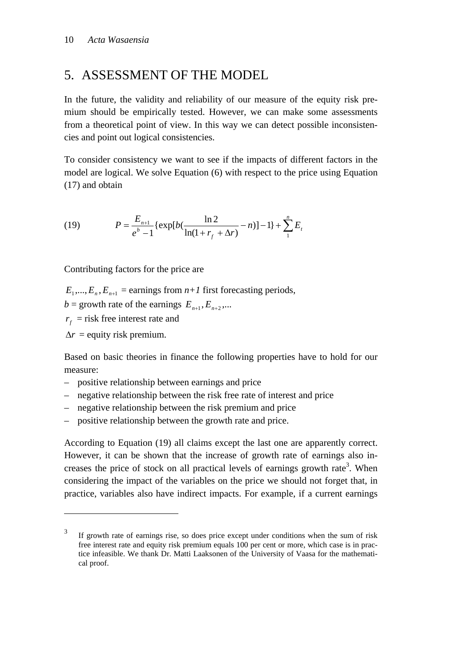## 5. ASSESSMENT OF THE MODEL

In the future, the validity and reliability of our measure of the equity risk premium should be empirically tested. However, we can make some assessments from a theoretical point of view. In this way we can detect possible inconsistencies and point out logical consistencies.

To consider consistency we want to see if the impacts of different factors in the model are logical. We solve Equation (6) with respect to the price using Equation (17) and obtain

(19) 
$$
P = \frac{E_{n+1}}{e^b - 1} \{ \exp[b(\frac{\ln 2}{\ln(1 + r_f + \Delta r)} - n)] - 1 \} + \sum_{1}^{n} E_t
$$

Contributing factors for the price are

 $E_1, ..., E_n, E_{n+1}$  = earnings from  $n+1$  first forecasting periods,  $b =$  growth rate of the earnings  $E_{n+1}, E_{n+2}, ...$  $r_f$  = risk free interest rate and

 $\Delta r$  = equity risk premium.

1

Based on basic theories in finance the following properties have to hold for our measure:

- positive relationship between earnings and price
- negative relationship between the risk free rate of interest and price
- negative relationship between the risk premium and price
- positive relationship between the growth rate and price.

According to Equation (19) all claims except the last one are apparently correct. However, it can be shown that the increase of growth rate of earnings also increases the price of stock on all practical levels of earnings growth rate<sup>3</sup>. When considering the impact of the variables on the price we should not forget that, in practice, variables also have indirect impacts. For example, if a current earnings

<sup>3</sup> If growth rate of earnings rise, so does price except under conditions when the sum of risk free interest rate and equity risk premium equals 100 per cent or more, which case is in practice infeasible. We thank Dr. Matti Laaksonen of the University of Vaasa for the mathematical proof.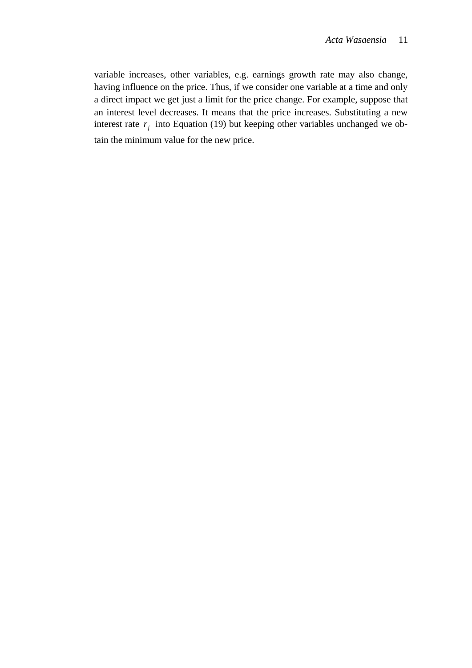variable increases, other variables, e.g. earnings growth rate may also change, having influence on the price. Thus, if we consider one variable at a time and only a direct impact we get just a limit for the price change. For example, suppose that an interest level decreases. It means that the price increases. Substituting a new interest rate  $r_f$  into Equation (19) but keeping other variables unchanged we obtain the minimum value for the new price.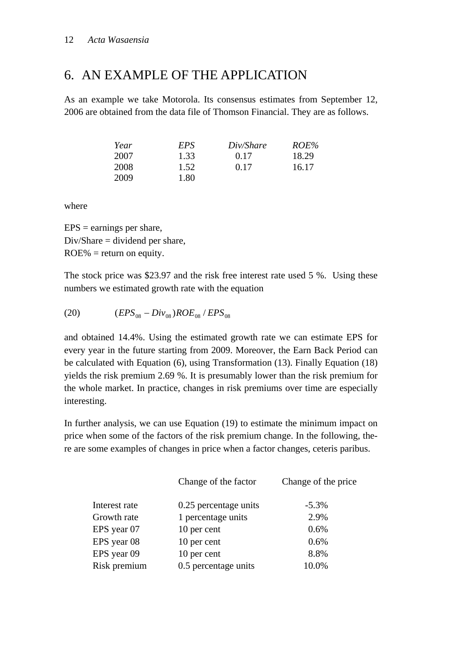## 6. AN EXAMPLE OF THE APPLICATION

As an example we take Motorola. Its consensus estimates from September 12, 2006 are obtained from the data file of Thomson Financial. They are as follows.

| Year | EPS  | Div/Share | ROE%  |
|------|------|-----------|-------|
| 2007 | 1.33 | 0.17      | 18.29 |
| 2008 | 1.52 | 0.17      | 16.17 |
| 2009 | 1.80 |           |       |

where

 $EPS =$  earnings per share, Div/Share = dividend per share,  $ROE% = return on equity.$ 

The stock price was \$23.97 and the risk free interest rate used 5 %. Using these numbers we estimated growth rate with the equation

(20) 
$$
(EPS_{08} - Div_{08})ROE_{08} / EPS_{08}
$$

and obtained 14.4%. Using the estimated growth rate we can estimate EPS for every year in the future starting from 2009. Moreover, the Earn Back Period can be calculated with Equation (6), using Transformation (13). Finally Equation (18) yields the risk premium 2.69 %. It is presumably lower than the risk premium for the whole market. In practice, changes in risk premiums over time are especially interesting.

In further analysis, we can use Equation (19) to estimate the minimum impact on price when some of the factors of the risk premium change. In the following, there are some examples of changes in price when a factor changes, ceteris paribus.

|               | Change of the factor  | Change of the price |
|---------------|-----------------------|---------------------|
| Interest rate | 0.25 percentage units | $-5.3\%$            |
| Growth rate   | 1 percentage units    | 2.9%                |
| EPS year 07   | 10 per cent           | 0.6%                |
| EPS year 08   | 10 per cent           | 0.6%                |
| EPS year 09   | 10 per cent           | 8.8%                |
| Risk premium  | 0.5 percentage units  | 10.0%               |
|               |                       |                     |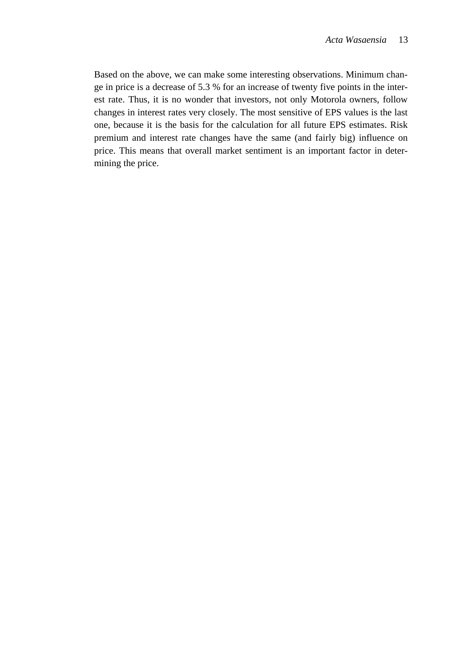Based on the above, we can make some interesting observations. Minimum change in price is a decrease of 5.3 % for an increase of twenty five points in the interest rate. Thus, it is no wonder that investors, not only Motorola owners, follow changes in interest rates very closely. The most sensitive of EPS values is the last one, because it is the basis for the calculation for all future EPS estimates. Risk premium and interest rate changes have the same (and fairly big) influence on price. This means that overall market sentiment is an important factor in determining the price.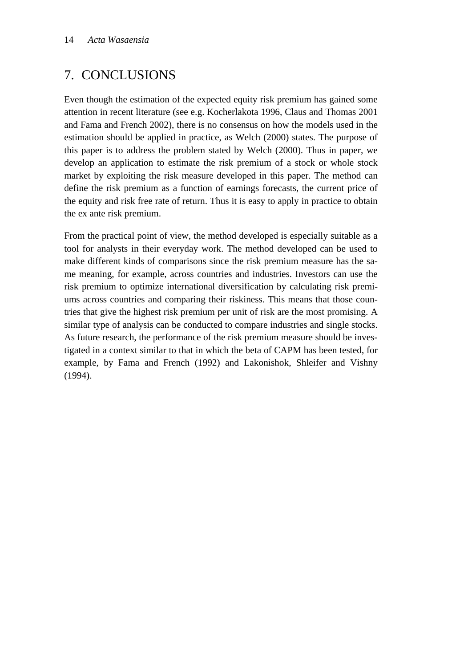# 7. CONCLUSIONS

Even though the estimation of the expected equity risk premium has gained some attention in recent literature (see e.g. Kocherlakota 1996, Claus and Thomas 2001 and Fama and French 2002), there is no consensus on how the models used in the estimation should be applied in practice, as Welch (2000) states. The purpose of this paper is to address the problem stated by Welch (2000). Thus in paper, we develop an application to estimate the risk premium of a stock or whole stock market by exploiting the risk measure developed in this paper. The method can define the risk premium as a function of earnings forecasts, the current price of the equity and risk free rate of return. Thus it is easy to apply in practice to obtain the ex ante risk premium.

From the practical point of view, the method developed is especially suitable as a tool for analysts in their everyday work. The method developed can be used to make different kinds of comparisons since the risk premium measure has the same meaning, for example, across countries and industries. Investors can use the risk premium to optimize international diversification by calculating risk premiums across countries and comparing their riskiness. This means that those countries that give the highest risk premium per unit of risk are the most promising. A similar type of analysis can be conducted to compare industries and single stocks. As future research, the performance of the risk premium measure should be investigated in a context similar to that in which the beta of CAPM has been tested, for example, by Fama and French (1992) and Lakonishok, Shleifer and Vishny (1994).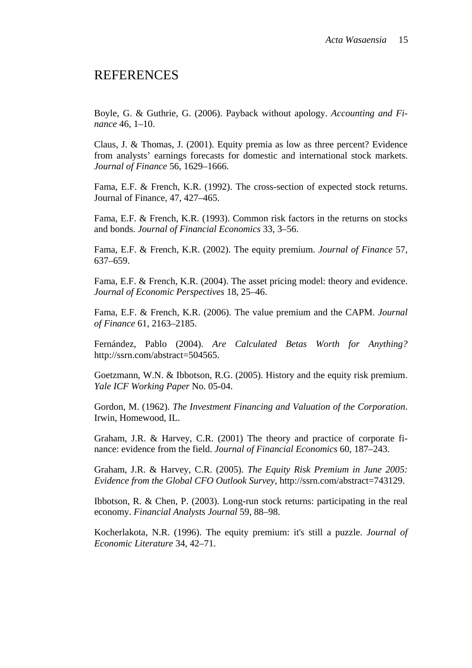#### REFERENCES

Boyle, G. & Guthrie, G. (2006). Payback without apology. *Accounting and Finance* 46, 1–10.

Claus, J. & Thomas, J. (2001). Equity premia as low as three percent? Evidence from analysts' earnings forecasts for domestic and international stock markets. *Journal of Finance* 56, 1629–1666.

Fama, E.F. & French, K.R. (1992). The cross-section of expected stock returns. Journal of Finance, 47, 427–465.

Fama, E.F. & French, K.R. (1993). Common risk factors in the returns on stocks and bonds. *Journal of Financial Economics* 33, 3–56.

Fama, E.F. & French, K.R. (2002). The equity premium. *Journal of Finance* 57, 637–659.

Fama, E.F. & French, K.R. (2004). The asset pricing model: theory and evidence. *Journal of Economic Perspectives* 18, 25–46.

Fama, E.F. & French, K.R. (2006). The value premium and the CAPM. *Journal of Finance* 61, 2163–2185.

Fernández, Pablo (2004). *Are Calculated Betas Worth for Anything?* http://ssrn.com/abstract=504565.

Goetzmann, W.N. & Ibbotson, R.G. (2005). History and the equity risk premium. *Yale ICF Working Paper* No. 05-04.

Gordon, M. (1962). *The Investment Financing and Valuation of the Corporation*. Irwin, Homewood, IL.

Graham, J.R. & Harvey, C.R. (2001) The theory and practice of corporate finance: evidence from the field. *Journal of Financial Economics* 60, 187–243.

Graham, J.R. & Harvey, C.R. (2005). *The Equity Risk Premium in June 2005: Evidence from the Global CFO Outlook Survey,* http://ssrn.com/abstract=743129.

Ibbotson, R. & Chen, P. (2003). Long-run stock returns: participating in the real economy. *Financial Analysts Journal* 59, 88–98.

Kocherlakota, N.R. (1996). The equity premium: it's still a puzzle. *Journal of Economic Literature* 34, 42–71.